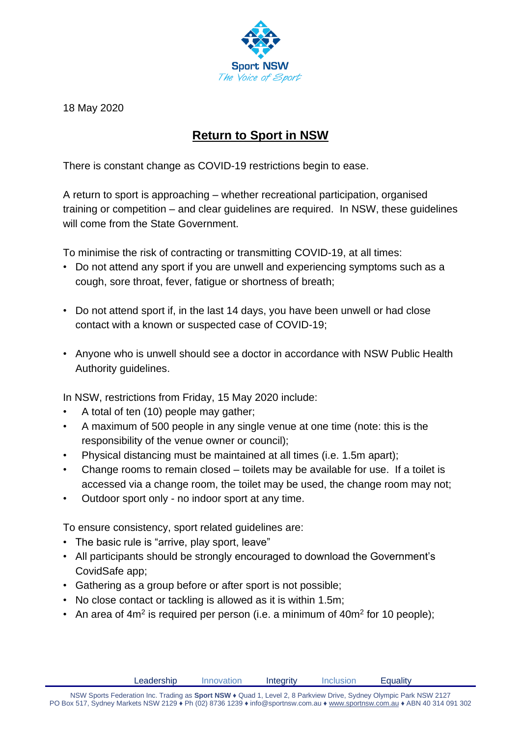

18 May 2020

## **Return to Sport in NSW**

There is constant change as COVID-19 restrictions begin to ease.

A return to sport is approaching – whether recreational participation, organised training or competition – and clear guidelines are required. In NSW, these guidelines will come from the State Government.

To minimise the risk of contracting or transmitting COVID-19, at all times:

- Do not attend any sport if you are unwell and experiencing symptoms such as a cough, sore throat, fever, fatigue or shortness of breath;
- Do not attend sport if, in the last 14 days, you have been unwell or had close contact with a known or suspected case of COVID-19;
- Anyone who is unwell should see a doctor in accordance with NSW Public Health Authority guidelines.

In NSW, restrictions from Friday, 15 May 2020 include:

- A total of ten (10) people may gather;
- A maximum of 500 people in any single venue at one time (note: this is the responsibility of the venue owner or council);
- Physical distancing must be maintained at all times (i.e. 1.5m apart);
- Change rooms to remain closed toilets may be available for use. If a toilet is accessed via a change room, the toilet may be used, the change room may not;
- Outdoor sport only no indoor sport at any time.

To ensure consistency, sport related guidelines are:

- The basic rule is "arrive, play sport, leave"
- All participants should be strongly encouraged to download the Government's CovidSafe app;
- Gathering as a group before or after sport is not possible;
- No close contact or tackling is allowed as it is within 1.5m;
- An area of  $4m^2$  is required per person (i.e. a minimum of  $40m^2$  for 10 people);